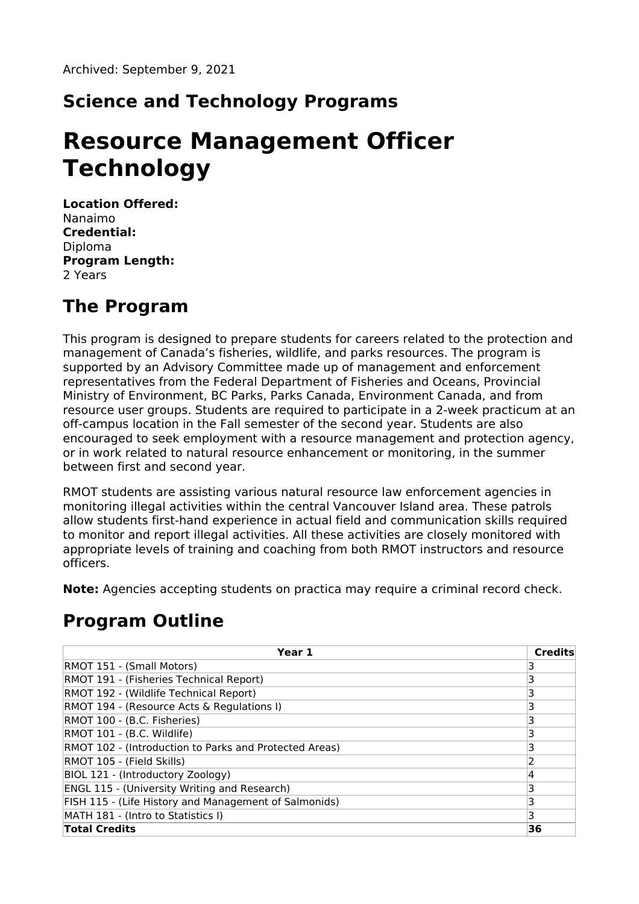### **Science and Technology Programs**

# **Resource Management Officer Technology**

**Location Offered:** Nanaimo **Credential:** Diploma **Program Length:** 2 Years

#### **The Program**

This program is designed to prepare students for careers related to the protection and management of Canada's fisheries, wildlife, and parks resources. The program is supported by an Advisory Committee made up of management and enforcement representatives from the Federal Department of Fisheries and Oceans, Provincial Ministry of Environment, BC Parks, Parks Canada, Environment Canada, and from resource user groups. Students are required to participate in a 2-week practicum at an off-campus location in the Fall semester of the second year. Students are also encouraged to seek employment with a resource management and protection agency, or in work related to natural resource enhancement or monitoring, in the summer between first and second year.

RMOT students are assisting various natural resource law enforcement agencies in monitoring illegal activities within the central Vancouver Island area. These patrols allow students first-hand experience in actual field and communication skills required to monitor and report illegal activities. All these activities are closely monitored with appropriate levels of training and coaching from both RMOT instructors and resource officers.

**Note:** Agencies accepting students on practica may require a criminal record check.

#### **Program Outline**

| Year 1                                                 | <b>Credits</b> |
|--------------------------------------------------------|----------------|
| RMOT 151 - (Small Motors)                              |                |
| RMOT 191 - (Fisheries Technical Report)                |                |
| RMOT 192 - (Wildlife Technical Report)                 |                |
| RMOT 194 - (Resource Acts & Regulations I)             |                |
| RMOT 100 - (B.C. Fisheries)                            |                |
| RMOT 101 - (B.C. Wildlife)                             |                |
| RMOT 102 - (Introduction to Parks and Protected Areas) |                |
| RMOT 105 - (Field Skills)                              |                |
| BIOL 121 - (Introductory Zoology)                      | 4              |
| <b>ENGL 115 - (University Writing and Research)</b>    |                |
| FISH 115 - (Life History and Management of Salmonids)  |                |
| MATH 181 - (Intro to Statistics I)                     | 3              |
| <b>Total Credits</b>                                   | 36             |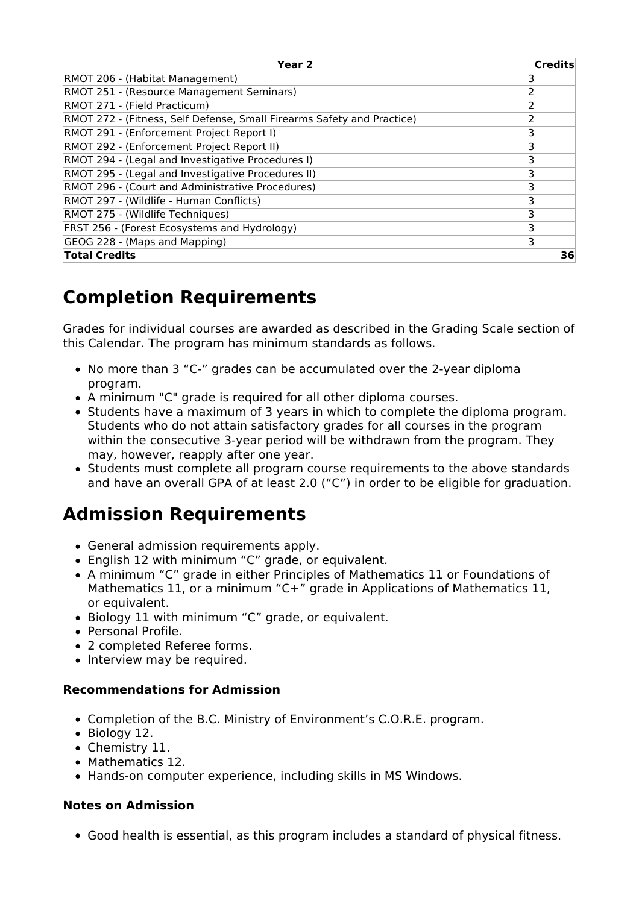| Year <sub>2</sub>                                                      | Credits |
|------------------------------------------------------------------------|---------|
| RMOT 206 - (Habitat Management)                                        |         |
| RMOT 251 - (Resource Management Seminars)                              |         |
| RMOT 271 - (Field Practicum)                                           |         |
| RMOT 272 - (Fitness, Self Defense, Small Firearms Safety and Practice) | 2       |
| RMOT 291 - (Enforcement Project Report I)                              | 3       |
| RMOT 292 - (Enforcement Project Report II)                             | 3       |
| RMOT 294 - (Legal and Investigative Procedures I)                      |         |
| RMOT 295 - (Legal and Investigative Procedures II)                     | 3       |
| RMOT 296 - (Court and Administrative Procedures)                       | 3       |
| RMOT 297 - (Wildlife - Human Conflicts)                                | 3       |
| RMOT 275 - (Wildlife Techniques)                                       | 3       |
| FRST 256 - (Forest Ecosystems and Hydrology)                           | 3       |
| GEOG 228 - (Maps and Mapping)                                          | 3       |
| <b>Total Credits</b>                                                   | 36      |

## **Completion Requirements**

Grades for individual courses are awarded as described in the Grading Scale section of this Calendar. The program has minimum standards as follows.

- No more than 3 "C-" grades can be accumulated over the 2-year diploma program.
- A minimum "C" grade is required for all other diploma courses.
- Students have a maximum of 3 years in which to complete the diploma program. Students who do not attain satisfactory grades for all courses in the program within the consecutive 3-year period will be withdrawn from the program. They may, however, reapply after one year.
- Students must complete all program course requirements to the above standards and have an overall GPA of at least 2.0 ("C") in order to be eligible for graduation.

#### **Admission Requirements**

- General admission requirements apply.
- English 12 with minimum "C" grade, or equivalent.
- A minimum "C" grade in either Principles of Mathematics 11 or Foundations of Mathematics 11, or a minimum "C+" grade in Applications of Mathematics 11, or equivalent.
- Biology 11 with minimum "C" grade, or equivalent.
- Personal Profile.
- 2 completed Referee forms.
- Interview may be required.

#### **Recommendations for Admission**

- Completion of the B.C. Ministry of Environment's C.O.R.E. program.
- Biology 12.
- Chemistry 11.
- Mathematics 12.
- Hands-on computer experience, including skills in MS Windows.

#### **Notes on Admission**

Good health is essential, as this program includes a standard of physical fitness.